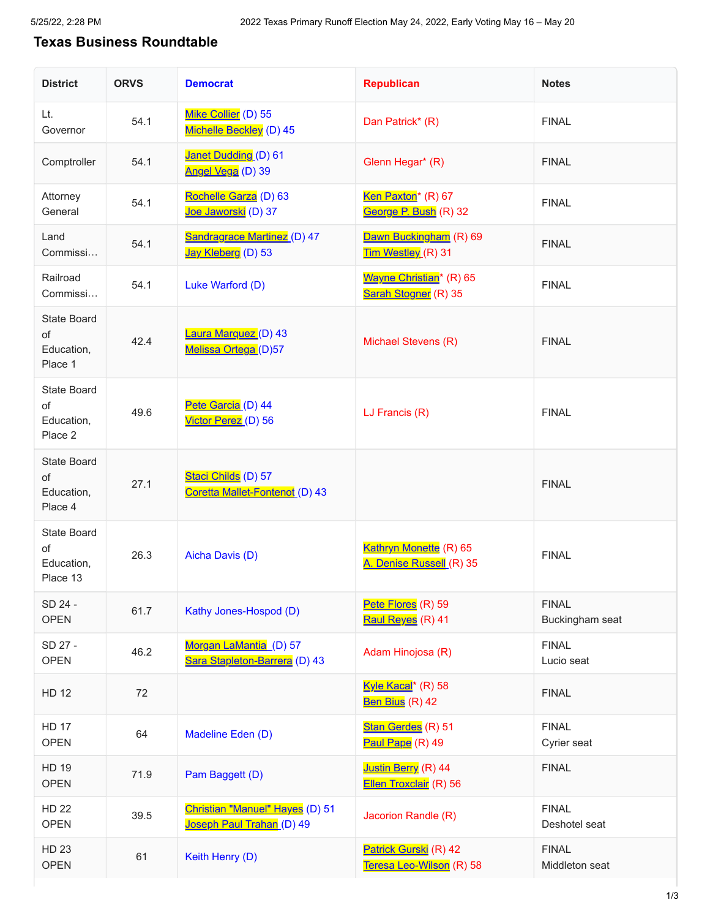## **Texas Business Roundtable**

| <b>District</b>                                    | <b>ORVS</b> | <b>Democrat</b>                                              | <b>Republican</b>                                           | <b>Notes</b>                    |
|----------------------------------------------------|-------------|--------------------------------------------------------------|-------------------------------------------------------------|---------------------------------|
| Lt.<br>Governor                                    | 54.1        | Mike Collier (D) 55<br>Michelle Beckley (D) 45               | Dan Patrick* (R)                                            | <b>FINAL</b>                    |
| Comptroller                                        | 54.1        | Janet Dudding (D) 61<br>Angel Vega (D) 39                    | Glenn Hegar* (R)                                            | <b>FINAL</b>                    |
| Attorney<br>General                                | 54.1        | Rochelle Garza (D) 63<br>Joe Jaworski (D) 37                 | Ken Paxton <sup>*</sup> (R) 67<br>George P. Bush (R) 32     | <b>FINAL</b>                    |
| Land<br>Commissi                                   | 54.1        | <b>Sandragrace Martinez (D) 47</b><br>Jay Kleberg (D) 53     | Dawn Buckingham (R) 69<br>Tim Westley (R) 31                | <b>FINAL</b>                    |
| Railroad<br>Commissi                               | 54.1        | Luke Warford (D)                                             | Wayne Christian <sup>*</sup> (R) 65<br>Sarah Stogner (R) 35 | <b>FINAL</b>                    |
| <b>State Board</b><br>of<br>Education,<br>Place 1  | 42.4        | Laura Marquez (D) 43<br>Melissa Ortega (D)57                 | Michael Stevens (R)                                         | <b>FINAL</b>                    |
| <b>State Board</b><br>of<br>Education,<br>Place 2  | 49.6        | Pete Garcia (D) 44<br>Victor Perez (D) 56                    | LJ Francis (R)                                              | <b>FINAL</b>                    |
| <b>State Board</b><br>of<br>Education,<br>Place 4  | 27.1        | Staci Childs (D) 57<br>Coretta Mallet-Fontenot (D) 43        |                                                             | <b>FINAL</b>                    |
| <b>State Board</b><br>of<br>Education,<br>Place 13 | 26.3        | Aicha Davis (D)                                              | Kathryn Monette (R) 65<br>A. Denise Russell (R) 35          | <b>FINAL</b>                    |
| SD 24 -<br><b>OPEN</b>                             | 61.7        | Kathy Jones-Hospod (D)                                       | Pete Flores (R) 59<br>Raul Reyes (R) 41                     | <b>FINAL</b><br>Buckingham seat |
| SD 27 -<br><b>OPEN</b>                             | 46.2        | Morgan LaMantia (D) 57<br>Sara Stapleton-Barrera (D) 43      | Adam Hinojosa (R)                                           | <b>FINAL</b><br>Lucio seat      |
| <b>HD 12</b>                                       | 72          |                                                              | Kyle Kacal <sup>*</sup> (R) 58<br>Ben Bius (R) 42           | <b>FINAL</b>                    |
| <b>HD 17</b><br><b>OPEN</b>                        | 64          | Madeline Eden (D)                                            | Stan Gerdes (R) 51<br>Paul Pape (R) 49                      | <b>FINAL</b><br>Cyrier seat     |
| <b>HD 19</b><br><b>OPEN</b>                        | 71.9        | Pam Baggett (D)                                              | Justin Berry (R) 44<br>Ellen Troxclair (R) 56               | <b>FINAL</b>                    |
| <b>HD 22</b><br><b>OPEN</b>                        | 39.5        | Christian "Manuel" Hayes (D) 51<br>Joseph Paul Trahan (D) 49 | Jacorion Randle (R)                                         | <b>FINAL</b><br>Deshotel seat   |
| <b>HD 23</b><br><b>OPEN</b>                        | 61          | Keith Henry (D)                                              | Patrick Gurski (R) 42<br>Teresa Leo-Wilson (R) 58           | <b>FINAL</b><br>Middleton seat  |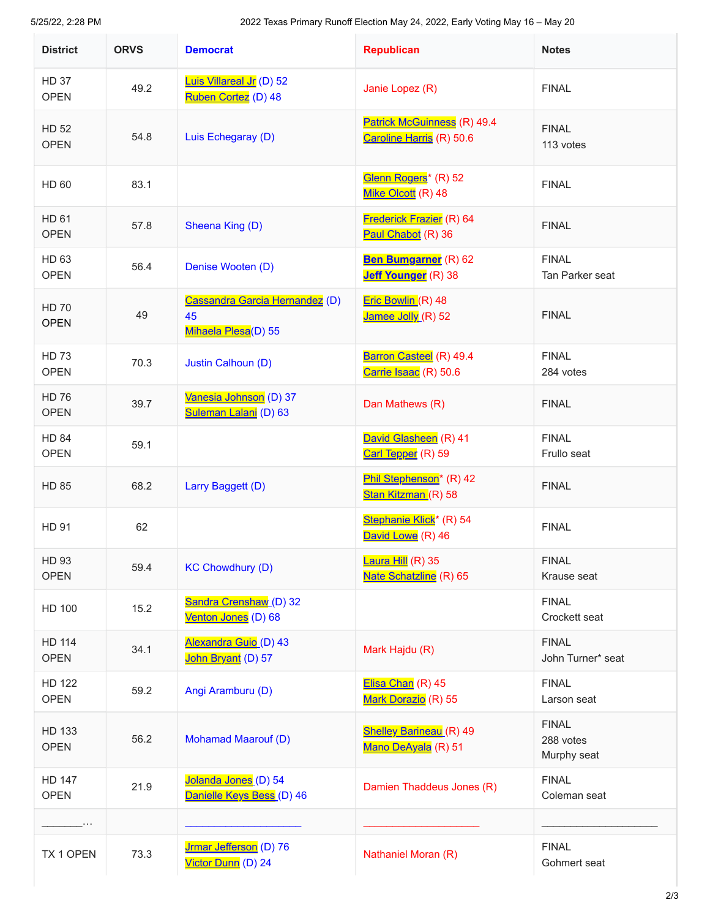5/25/22, 2:28 PM 2022 Texas Primary Runoff Election May 24, 2022, Early Voting May 16 – May 20

| <b>District</b>              | <b>ORVS</b> | <b>Democrat</b>                                             | <b>Republican</b>                                                   | <b>Notes</b>                             |
|------------------------------|-------------|-------------------------------------------------------------|---------------------------------------------------------------------|------------------------------------------|
| <b>HD 37</b><br><b>OPEN</b>  | 49.2        | Luis Villareal Jr (D) 52<br>Ruben Cortez (D) 48             | Janie Lopez (R)                                                     | <b>FINAL</b>                             |
| <b>HD 52</b><br><b>OPEN</b>  | 54.8        | Luis Echegaray (D)                                          | Patrick McGuinness (R) 49.4<br>Caroline Harris (R) 50.6             | <b>FINAL</b><br>113 votes                |
| HD 60                        | 83.1        |                                                             | Glenn Rogers <sup>*</sup> (R) 52<br>Mike Olcott (R) 48              | <b>FINAL</b>                             |
| HD 61<br><b>OPEN</b>         | 57.8        | Sheena King (D)                                             | Frederick Frazier (R) 64<br>Paul Chabot (R) 36                      | <b>FINAL</b>                             |
| HD 63<br><b>OPEN</b>         | 56.4        | Denise Wooten (D)                                           | Ben Bumgarner (R) 62<br>Jeff Younger (R) 38                         | <b>FINAL</b><br>Tan Parker seat          |
| <b>HD 70</b><br><b>OPEN</b>  | 49          | Cassandra Garcia Hernandez (D)<br>45<br>Mihaela Plesa(D) 55 | Eric Bowlin (R) 48<br>Jamee Jolly (R) 52                            | <b>FINAL</b>                             |
| <b>HD 73</b><br><b>OPEN</b>  | 70.3        | Justin Calhoun (D)                                          | Barron Casteel (R) 49.4<br>Carrie Isaac (R) 50.6                    | <b>FINAL</b><br>284 votes                |
| <b>HD 76</b><br><b>OPEN</b>  | 39.7        | Vanesia Johnson (D) 37<br>Suleman Lalani (D) 63             | Dan Mathews (R)                                                     | <b>FINAL</b>                             |
| <b>HD 84</b><br><b>OPEN</b>  | 59.1        |                                                             | David Glasheen (R) 41<br>Carl Tepper (R) 59                         | <b>FINAL</b><br>Frullo seat              |
| <b>HD 85</b>                 | 68.2        | Larry Baggett (D)                                           | Phil Stephenson <sup>*</sup> (R) 42<br>Stan Kitzman (R) 58          | <b>FINAL</b>                             |
| HD 91                        | 62          |                                                             | Stephanie Klick <sup>*</sup> (R) 54<br>David Lowe <sup>(R)</sup> 46 | <b>FINAL</b>                             |
| HD 93<br><b>OPEN</b>         | 59.4        | <b>KC Chowdhury (D)</b>                                     | Laura Hill (R) 35<br>Nate Schatzline (R) 65                         | <b>FINAL</b><br>Krause seat              |
| HD 100                       | 15.2        | Sandra Crenshaw (D) 32<br>Venton Jones (D) 68               |                                                                     | <b>FINAL</b><br>Crockett seat            |
| HD 114<br><b>OPEN</b>        | 34.1        | Alexandra Guio (D) 43<br>John Bryant (D) 57                 | Mark Hajdu (R)                                                      | <b>FINAL</b><br>John Turner* seat        |
| <b>HD 122</b><br><b>OPEN</b> | 59.2        | Angi Aramburu (D)                                           | Elisa Chan (R) 45<br>Mark Dorazio (R) 55                            | <b>FINAL</b><br>Larson seat              |
| HD 133<br><b>OPEN</b>        | 56.2        | <b>Mohamad Maarouf (D)</b>                                  | <b>Shelley Barineau</b> (R) 49<br>Mano DeAyala (R) 51               | <b>FINAL</b><br>288 votes<br>Murphy seat |
| <b>HD 147</b><br><b>OPEN</b> | 21.9        | Jolanda Jones (D) 54<br>Danielle Keys Bess (D) 46           | Damien Thaddeus Jones (R)                                           | <b>FINAL</b><br>Coleman seat             |
| $\cdots$                     |             |                                                             |                                                                     |                                          |
| TX 1 OPEN                    | 73.3        | Jrmar Jefferson (D) 76<br>Victor Dunn (D) 24                | Nathaniel Moran (R)                                                 | <b>FINAL</b><br>Gohmert seat             |